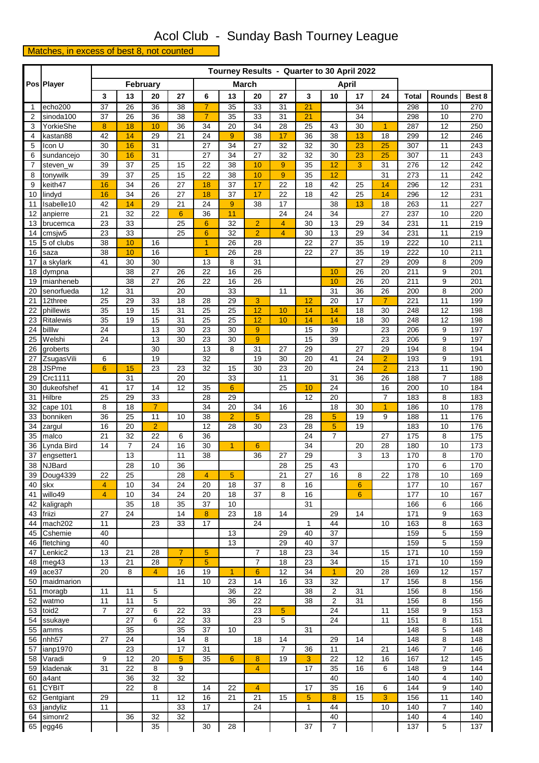## Acol Club - Sunday Bash Tourney League

Matches, in excess of best 8, not counted

## **Pos Player February March April 3 13 20 27 6 13 20 27 3 10 17 24 Total Rounds Best 8** 1 echo200 | 37 | 26 | 36 | 38 | 7 | 35 | 33 | 31 | 21 | | 34 | | | 298 | 10 | 270 2 sinoda100 | 37 | 26 | 36 | 38 | 7 | 35 | 33 | 31 | 21 | | 34 | | 298 | 10 | 270 3 |YorkieShe | <mark>8 | 18 | 10 |</mark> 36 | 34 | 20 | 34 | 28 | 25 | 43 | 30 | 1 | 287 | 12 | 250 4 |kastan88 | 42 <mark>| 14 |</mark> 29 | 21 | 24 | <mark>9 |</mark> 38 | 17 | 36 | 38 | <mark>13 |</mark> 18 | 299 | 12 | 246 5 |Icon U | 30 <mark> 16 </mark> 31 | 27 | 34 | 27 | 32 | 32 | 30 <mark> 23 | 25 |</mark> 307 | 11 | 243 6 |sundancejo | 30 <mark>| 16 |</mark> 31 | | 27 | 34 | 27 | 32 | 32 | 30 <mark>| 23 | 25 |</mark> 307 | 11 | 243 7 |steven\_w | 39 | 37 | 25 | 15 | 22 | 38 <mark>| 10 | 9 |</mark> 35 | 12 | 3 | 31 | 276 | 12 | 242 8 |tonywilk | 39 | 37 | 25 | 15 | 22 | 38 <mark>| 10 | 9 |</mark> 35 | <mark>12 | | 31 | 273 | 11 | 242</mark> 9 keith47 <mark>| 16 |</mark> 34 | 26 | 27 <mark>| 18 |</mark> 37 | 17 | 22 | 18 | 42 | 25 | 14 | 296 | 12 | 231 10 |lindyd <mark>| 16 |</mark> 34 | 26 | 27 <mark>| 18 |</mark> 37 | 17 | 22 | 18 | 42 | 25 | 14 | 296 | 12 | 231 11 |Isabelle10 | 42 <mark>| 14 |</mark> 29 | 21 | 24 <mark>| 9 |</mark> 38 | 17 | | 38 <mark>| 13 |</mark> 18 | 263 | 11 | 227 12 anpierre | 21 | 32 | 22 <mark>| 6 |</mark> 36 | 11 | | | 24 | 24 | 34 | | | 27 | 237 | 10 | 220 13 brucemca | 23 | 33 | | | 25 | <mark>6 | 32 | 2 | 4 |</mark> 30 | 13 | 29 | 34 | 231 | 11 | 219 14 cmsjw5 | 23 | 33 | | 25 <mark>| 6 |</mark> 32 | 2 | 4 | 30 | 13 | 29 | 34 | 231 | 11 | 219 15 5 of clubs 38 10 16 1 26 28 22 27 35 19 222 10 211 16 saza 38 10 16 1 26 28 22 27 35 19 222 10 211 17 |a skylark | 41 | 30 | 30 | | 13 | 8 | 31 | | | | | | | 27 | 29 | 209 | 8 | 209 18 dympna | | 38 | 27 | 26 | 22 | 16 | 26 | | <mark>| 10 |</mark> 26 | 20 | 211 | 9 | 201 19 mianheneb 38 27 26 22 16 26 10 10 26 20 211 9 201 20 senorfueda | 12 | 31 | | 20 | | 33 | | 11 | | 31 | 36 | 26 | 200 | 8 | 200 21 |12three | 25 | 29 | 33 | 18 | 28 | 29 <mark>| 3 | | 12 |</mark> 20 | 17 | 7 | 221 | 11 | 199 22 |phillewis | 35 | 19 | 15 | 31 | 25 | 25 | <mark>12 | 10 | 14 | 14 |</mark> 18 | 30 | 248 | 12 | 198 23 Ritalewis | 35 | 19 | 15 | 31 | 25 | 25 | 12 | 10 | 14 | 14 | 18 | 30 | 248 | 12 | 198 24 |billlw | 24 | | 13 | 30 | 23 | 30 | <mark>9 |</mark> 15 | 39 | | 23 | 206 | 9 | 197 25 |Welshi | 24 | | 13 | 30 | 23 | 30 | <mark>9 |</mark> 15 | 39 | | 23 | 206 | 9 | 197 26 groberts | | | 30 | | 13 | 8 | 31 | 27 | 29 | | 27 | 29 | 194 | 8 | 194 27 |ZsugasVili | 6 | | | 19 | | | 32 | | | | 19 | 30 | 20 | 41 | 24 | 2 | 193 | 9 | 191 28 |JSPme | 6 | 15 | 23 | 23 | 32 | 15 | 30 | 23 | 20 | | 24 | 2 | 213 | 11 | 190 29 | Crc1111 | | 31 | | 20 | | 33 | | | 11 | | 31 | 36 | 26 | 188 | 7 | 188 30 dukeofshef 41 17 14 12 35 6 25 10 24 16 200 10 184 31 |Hilbre | 25 | 29 | 33 | | | 28 | 29 | | | | | 12 | 20 | | | | 7 | 183 | 8 | 183 32 cape 101 8 18 7 34 20 34 16 18 30 1 186 10 178 33 |bonniken | 36 | 25 | 11 | 10 | 38 | 2 | 5 | | 28 | <mark>5 |</mark> 19 | 9 | 188 | 11 | 176 34 |zargul | 16 | 20 | 2 | | 12 | 28 | 30 | 23 | 28 | 5 | 19 | | 183 | 10 | 176 35 |malco | 21 | 32 | 22 | 6 | 36 | | | | | 24 | 7 | | | 27 | 175 | 8 | 175 36 |Lynda Bird | 14 | 7 | 24 | 16 | 30 | 1 | 6 | | 134 | | | 20 | 28 | 180 | 10 | 173 37 |engsetter1 | | 13 | | 11 | 38 | | | 36 | 27 | 29 | | | 3 | 13 | 170 | 8 | 170 38 |NJBard | | 28 | 10 | 36 | | | | | | | 28 | 25 | 43 | | | | | 170 | 6 | 170 39 Doug4339 22 25 28 4 5 21 27 16 8 22 178 10 169 40 skx 4 10 34 24 20 18 37 8 16 6 177 10 167 41 willo49 4 10 34 24 20 18 37 8 16 6 177 10 167 42 |kaligraph | | 35 | 18 | 35 | 37 | 10 | | | | 31 | | | | | | | 166 | 6 | 166 43 |friizi | 27 | 24 | | 14 <mark>| 8 |</mark> 23 | 18 | 14 | | | 29 | 14 | | | 171 | 9 | 163 44 |mach202 | 11 | | 23 | 33 | 17 | | 24 | | 1 | 44 | | 10 | 163 | 8 | 163 45 |Cshemie | 40 | | | | | | | 13 | | 29 | 40 | 37 | | | 159 | 5 | 159 46 |fletching | 40 | | | | | | | 13 | | 29 | 40 | 37 | | | 159 | 5 | 159 47 |Lenkic2 | 13 | 21 | 28 <mark>| 7 | 5 |</mark> 1 | 7 | 18 | 23 | 34 | 1 | 15 | 171 | 10 | 159 48 |meg43 | 13 | 21 | 28 <mark>| 7 | 5 |</mark> | 7 | 18 | 23 | 34 | | 15 | 171 | 10 | 159 49 ace37 | 20 | 8 | 4 | 16 | 19 | 1 | 6 | 12 | 34 | 1 | 20 | 28 | 169 | 12 | 157 50 maidmarion 11 10 23 14 16 33 32 17 156 8 156 51 |moragb | 11 | 11 | 5 | 1 | | | 36 | 22 | | | 38 | 2 | | 31 | | | 156 | 8 | 156 52 |watmo | 11 | 11 | 5 | 1 | 136 | 22 | 1 | 38 | 2 | 31 | 1 | 156 | 8 | 156 53 toid2 7 27 6 22 33 23 5 24 11 158 9 153 54 |ssukaye | | 27 | 6 | 22 | 33 | | 23 | 5 | | 24 | | 11 | 151 | 8 | 151 55 |amms | | 35 | | 35 | 37 | 10 | | | | 31 | | | | | | 148 | 5 | 148 56 |nhh57 | 27 | 24 | | 14 | 8 | | 18 | 14 | | 29 | 14 | | 148 | 8 | 148 57 |ianp1970 | | 23 | | 17 | 31 | | | | | 7 | 36 | 11 | | | | | 146 | | 7 | 146 58 |Varadi | 9 | 12 | 20 <mark>| 5 |</mark> 35 | 6 | 8 | 19 | 3 | 22 | 12 | 16 | 167 | 12 | 145 59 |kladenak | 31 | 22 | 8 | 9 | | | <mark>| 4 |</mark> | 17 | 35 | 16 | 6 | 148 | 9 | 144 60 |a4ant | | 36 | 32 | 32 | | | | | | | | 40 | | | | 140 | 4 | 140 61 CYBIT | 22 | 8 | | 14 | 22 <mark>| 4 |</mark> 17 | 35 | 16 | 6 | 144 | 9 | 140 62 Gentgiant | 29 | | 11 | 12 | 16 | 21 | 21 | 15 | <mark>5 | 8 |</mark> 15 | 3 | 156 | 11 | 140 63 |jandyliz | 11 | | | | | 33 | 17 | | | | 24 | | | | | | 44 | | | | 10 | | 140 | | 7 | | 140 64 simonr2 | | 36 | 32 | 32 | | | | | | | | 40 | | | | 140 | | 4 | 140 65 egg46 | | | 35 | | 30 | 28 | | | 37 | 7 | | | | 137 | 5 | 137 **Tourney Results - Quarter to 30 April 2022**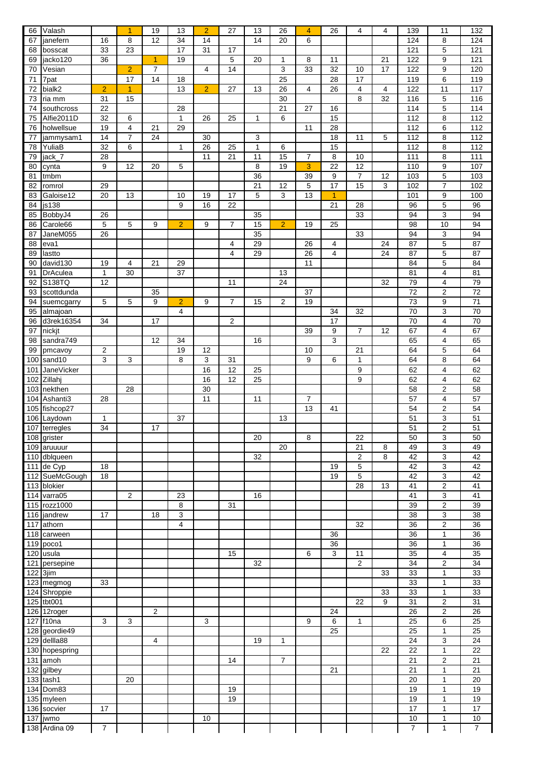| 66         | Valash                     |                | 1                    | 19             | 13             | $\overline{2}$ | 27             | 13           | 26             | $\overline{4}$ | 26                   | 4              | 4  | 139                   | 11                           | 132                   |
|------------|----------------------------|----------------|----------------------|----------------|----------------|----------------|----------------|--------------|----------------|----------------|----------------------|----------------|----|-----------------------|------------------------------|-----------------------|
| 67         | janefern                   | 16             | 8                    | 12             | 34             | 14             |                | 14           | 20             | 6              |                      |                |    | 124                   | 8                            | 124                   |
| 68         | bosscat                    | 33             | 23                   |                | 17             | 31             | 17             |              |                |                |                      |                |    | 121                   | 5                            | 121                   |
| 69         | jacko120                   | 36             |                      | $\overline{1}$ | 19             |                | 5              | 20           | $\mathbf{1}$   | 8              | 11                   |                | 21 | 122                   | 9                            | 121                   |
| 70         | Vesian                     |                | $\overline{2}$       | 7              |                | 4              | 14             |              | 3              | 33             | 32                   | 10             | 17 | 122                   | 9                            | 120                   |
| 71<br>72   | 7pat<br>bialk2             | $\overline{2}$ | 17<br>$\overline{1}$ | 14             | 18<br>13       | $\overline{2}$ | 27             | 13           | 25<br>26       | 4              | 28<br>26             | 17<br>4        | 4  | 119<br>122            | 6<br>11                      | 119<br>117            |
| 73         | ria mm                     | 31             | 15                   |                |                |                |                |              | 30             |                |                      | 8              | 32 | 116                   | 5                            | 116                   |
| 74         | southcross                 | 22             |                      |                | 28             |                |                |              | 21             | 27             | 16                   |                |    | 114                   | 5                            | 114                   |
| 75         | Alfie2011D                 | 32             | 6                    |                | 1              | 26             | 25             | 1            | 6              |                | 15                   |                |    | 112                   | 8                            | 112                   |
| 76         | holwellsue                 | 19             | $\overline{4}$       | 21             | 29             |                |                |              |                | 11             | 28                   |                |    | 112                   | 6                            | 112                   |
| 77         | jammysam1                  | 14             | $\overline{7}$       | 24             |                | 30             |                | 3            |                |                | 18                   | 11             | 5  | 112                   | 8                            | $\frac{1}{12}$        |
| 78         | YuliaB                     | 32             | 6                    |                | $\mathbf{1}$   | 26             | 25             | $\mathbf{1}$ | 6              |                | 15                   |                |    | 112                   | 8                            | $\frac{1}{12}$        |
| 79         | jack_7                     | 28             |                      |                |                | 11             | 21             | 11           | 15             | $\overline{7}$ | 8                    | 10             |    | 111                   | 8                            | 111                   |
| 80         | cynta                      | 9              | 12                   | 20             | 5              |                |                | 8            | 19             | 3              | 22                   | 12             |    | 110                   | 9                            | 107                   |
| 81         | tmbm                       |                |                      |                |                |                |                | 36           |                | 39             | 9                    | $\overline{7}$ | 12 | 103                   | 5                            | 103                   |
| 82         | romrol                     | 29             |                      |                |                |                |                | 21           | 12             | 5<br>13        | 17                   | 15             | 3  | 102                   | $\overline{7}$               | 102                   |
| 83<br>84   | Galoise12<br>js138         | 20             | 13                   |                | 10<br>9        | 19<br>16       | 17<br>22       | 5            | 3              |                | $\overline{1}$<br>21 | 28             |    | 101<br>96             | 9<br>5                       | 100<br>96             |
| 85         | BobbyJ4                    | 26             |                      |                |                |                |                | 35           |                |                |                      | 33             |    | 94                    | 3                            | 94                    |
| 86         | Carole66                   | 5              | 5                    | 9              | $\overline{2}$ | 9              | $\overline{7}$ | 15           | $\overline{2}$ | 19             | 25                   |                |    | 98                    | 10                           | 94                    |
| 87         | JaneM055                   | 26             |                      |                |                |                |                | 35           |                |                |                      | 33             |    | 94                    | 3                            | 94                    |
| 88         | eva1                       |                |                      |                |                |                | 4              | 29           |                | 26             | 4                    |                | 24 | 87                    | 5                            | 87                    |
| 89         | lastto                     |                |                      |                |                |                | $\overline{4}$ | 29           |                | 26             | 4                    |                | 24 | 87                    | 5                            | 87                    |
| 90         | david130                   | 19             | 4                    | 21             | 29             |                |                |              |                | 11             |                      |                |    | 84                    | 5                            | 84                    |
| 91         | <b>DrAculea</b>            | $\mathbf{1}$   | 30                   |                | 37             |                |                |              | 13             |                |                      |                |    | 81                    | 4                            | 81                    |
| 92         | S138TQ                     | 12             |                      |                |                |                | 11             |              | 24             |                |                      |                | 32 | 79                    | 4                            | 79                    |
| 93         | scottdunda                 |                |                      | 35             |                |                |                |              |                | 37             |                      |                |    | 72                    | 2                            | 72                    |
| 94         | suemcgarry                 | 5              | 5                    | 9              | $\overline{2}$ | 9              | $\overline{7}$ | 15           | $\overline{2}$ | 19             |                      |                |    | 73                    | 9                            | 71                    |
| 95<br>96   | almajoan<br>d3rek16354     | 34             |                      | 17             | 4              |                | $\overline{2}$ |              |                |                | 34<br>17             | 32             |    | 70<br>70              | 3<br>4                       | 70<br>70              |
| 97         | nickit                     |                |                      |                |                |                |                |              |                | 39             | 9                    | 7              | 12 | 67                    | 4                            | 67                    |
| 98         | sandra749                  |                |                      | 12             | 34             |                |                | 16           |                |                | 3                    |                |    | 65                    | 4                            | 65                    |
| 99         | pmcavoy                    | 2              |                      |                | 19             | 12             |                |              |                | 10             |                      | 21             |    | 64                    | 5                            | 64                    |
| 100        | sand10                     | 3              | 3                    |                | 8              | 3              | 31             |              |                | 9              | 6                    | 1              |    | 64                    | 8                            | 64                    |
| 101        | JaneVicker                 |                |                      |                |                | 16             | 12             | 25           |                |                |                      | 9              |    | 62                    | 4                            | 62                    |
| 102        | Zillahj                    |                |                      |                |                | 16             | 12             | 25           |                |                |                      | 9              |    | 62                    | 4                            | 62                    |
|            | 103 nekthen                |                | 28                   |                |                | 30             |                |              |                |                |                      |                |    | 58                    | $\overline{2}$               | 58                    |
| 104        | Ashanti3                   | 28             |                      |                |                | 11             |                | 11           |                | $\overline{7}$ |                      |                |    | 57                    | 4                            | 57                    |
|            | 105 fishcop27              |                |                      |                |                |                |                |              |                | 13             | 41                   |                |    | 54                    | $\overline{\mathbf{c}}$      | 54                    |
|            | 106 Laydown                | 1              |                      |                | 37             |                |                |              | 13             |                |                      |                |    | $\overline{51}$       | 3                            | $\overline{51}$       |
|            | 107 terregles              | 34             |                      | 17             |                |                |                | 20           |                | 8              |                      | 22             |    | 51<br>50              | $\overline{2}$<br>3          | 51<br>50              |
|            | 108 grister<br>109 aruuuur |                |                      |                |                |                |                |              | 20             |                |                      | 21             | 8  | 49                    | 3                            | 49                    |
|            | 110 dblqueen               |                |                      |                |                |                |                | 32           |                |                |                      | $\overline{2}$ | 8  | 42                    | 3                            | 42                    |
|            | 111 de Cyp                 | 18             |                      |                |                |                |                |              |                |                | 19                   | 5              |    | 42                    | 3                            | 42                    |
|            | 112 SueMcGough             | 18             |                      |                |                |                |                |              |                |                | 19                   | 5              |    | 42                    | 3                            | 42                    |
|            | 113 blokier                |                |                      |                |                |                |                |              |                |                |                      | 28             | 13 | 41                    | $\overline{2}$               | 41                    |
|            | 114 varra05                |                | 2                    |                | 23             |                |                | 16           |                |                |                      |                |    | 41                    | 3                            | 41                    |
|            | 115 rozz1000               |                |                      |                | 8              |                | 31             |              |                |                |                      |                |    | 39                    | $\overline{2}$               | 39                    |
|            | 116 jandrew                | 17             |                      | 18             | 3              |                |                |              |                |                |                      |                |    | 38                    | 3                            | 38                    |
| 117        | athorn                     |                |                      |                | 4              |                |                |              |                |                |                      | 32             |    | 36                    | $\overline{2}$               | 36                    |
| 118        | carween                    |                |                      |                |                |                |                |              |                |                | 36                   |                |    | $\overline{36}$       | $\mathbf{1}$                 | 36                    |
|            | $119$ poco1                |                |                      |                |                |                |                |              |                | 6              | 36<br>3              |                |    | $\overline{36}$       | 1<br>4                       | 36                    |
| 120<br>121 | usula<br>persepine         |                |                      |                |                |                | 15             | 32           |                |                |                      | 11<br>2        |    | 35<br>$\overline{34}$ | $\overline{\mathbf{c}}$      | 35<br>$\overline{34}$ |
| 122        | 3jim                       |                |                      |                |                |                |                |              |                |                |                      |                | 33 | 33                    | $\mathbf{1}$                 | 33                    |
|            | 123 megmog                 | 33             |                      |                |                |                |                |              |                |                |                      |                |    | 33                    | $\mathbf{1}$                 | 33                    |
| 124        | Shroppie                   |                |                      |                |                |                |                |              |                |                |                      |                | 33 | 33                    | 1                            | 33                    |
| 125        | tbt001                     |                |                      |                |                |                |                |              |                |                |                      | 22             | 9  | 31                    | 2                            | 31                    |
|            | 126 12roger                |                |                      | 2              |                |                |                |              |                |                | 24                   |                |    | 26                    | $\overline{\mathbf{c}}$      | $\overline{26}$       |
|            | 127 f10na                  | 3              | 3                    |                |                | 3              |                |              |                | 9              | 6                    | $\mathbf{1}$   |    | $\overline{25}$       | 6                            | 25                    |
|            | 128 geordie49              |                |                      |                |                |                |                |              |                |                | 25                   |                |    | 25                    | $\mathbf{1}$                 | 25                    |
| 129        | dellla88                   |                |                      | 4              |                |                |                | 19           | 1              |                |                      |                |    | 24                    | 3                            | 24                    |
|            | 130 hopespring             |                |                      |                |                |                |                |              |                |                |                      |                | 22 | 22                    | 1                            | 22                    |
| 131        | amoh                       |                |                      |                |                |                | 14             |              | $\overline{7}$ |                |                      |                |    | 21                    | $\overline{2}$               | 21                    |
| 132        | gilbey                     |                |                      |                |                |                |                |              |                |                | 21                   |                |    | 21                    | $\mathbf{1}$<br>$\mathbf{1}$ | 21<br>20              |
| 133<br>134 | tash1<br>Dom83             |                | 20                   |                |                |                | 19             |              |                |                |                      |                |    | 20<br>19              | 1                            | 19                    |
|            | 135 myleen                 |                |                      |                |                |                | 19             |              |                |                |                      |                |    | 19                    | $\mathbf{1}$                 | 19                    |
|            | 136 socvier                | 17             |                      |                |                |                |                |              |                |                |                      |                |    | 17                    | $\mathbf{1}$                 | 17                    |
| 137        | jwmo                       |                |                      |                |                | 10             |                |              |                |                |                      |                |    | 10                    | 1                            | 10                    |
|            | 138 Ardina 09              | $\overline{7}$ |                      |                |                |                |                |              |                |                |                      |                |    | 7                     | 1                            | $\overline{7}$        |
|            |                            |                |                      |                |                |                |                |              |                |                |                      |                |    |                       |                              |                       |